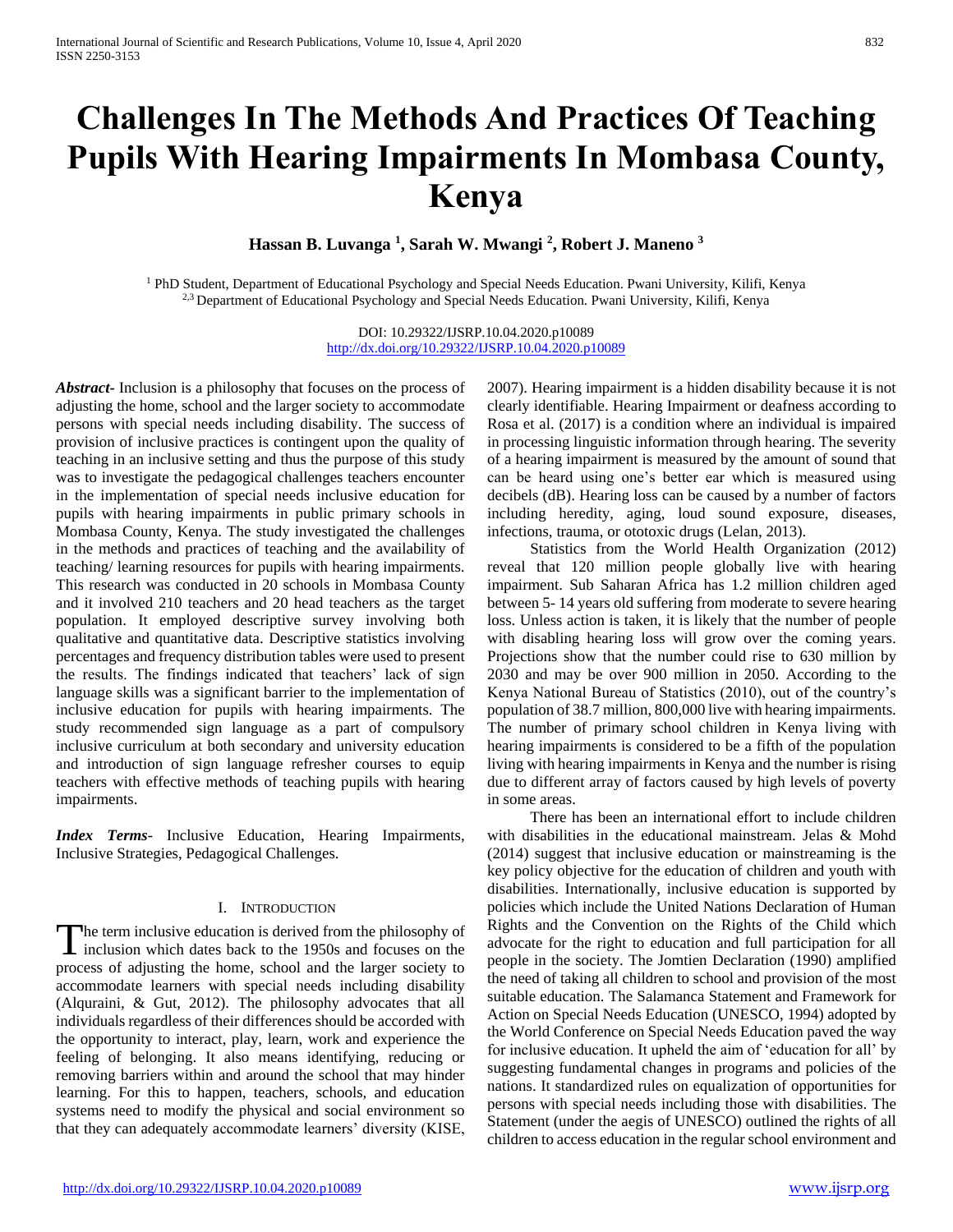# **Challenges In The Methods And Practices Of Teaching Pupils With Hearing Impairments In Mombasa County, Kenya**

**Hassan B. Luvanga <sup>1</sup> , Sarah W. Mwangi <sup>2</sup> , Robert J. Maneno <sup>3</sup>**

<sup>1</sup> PhD Student, Department of Educational Psychology and Special Needs Education. Pwani University, Kilifi, Kenya <sup>2,3</sup> Department of Educational Psychology and Special Needs Education. Pwani University, Kilifi, Kenya

> DOI: 10.29322/IJSRP.10.04.2020.p10089 <http://dx.doi.org/10.29322/IJSRP.10.04.2020.p10089>

*Abstract***-** Inclusion is a philosophy that focuses on the process of adjusting the home, school and the larger society to accommodate persons with special needs including disability. The success of provision of inclusive practices is contingent upon the quality of teaching in an inclusive setting and thus the purpose of this study was to investigate the pedagogical challenges teachers encounter in the implementation of special needs inclusive education for pupils with hearing impairments in public primary schools in Mombasa County, Kenya. The study investigated the challenges in the methods and practices of teaching and the availability of teaching/ learning resources for pupils with hearing impairments. This research was conducted in 20 schools in Mombasa County and it involved 210 teachers and 20 head teachers as the target population. It employed descriptive survey involving both qualitative and quantitative data. Descriptive statistics involving percentages and frequency distribution tables were used to present the results. The findings indicated that teachers' lack of sign language skills was a significant barrier to the implementation of inclusive education for pupils with hearing impairments. The study recommended sign language as a part of compulsory inclusive curriculum at both secondary and university education and introduction of sign language refresher courses to equip teachers with effective methods of teaching pupils with hearing impairments.

*Index Terms*- Inclusive Education, Hearing Impairments, Inclusive Strategies, Pedagogical Challenges.

## I. INTRODUCTION

he term inclusive education is derived from the philosophy of The term inclusive education is derived from the philosophy of inclusion which dates back to the 1950s and focuses on the process of adjusting the home, school and the larger society to accommodate learners with special needs including disability (Alquraini, & Gut, 2012). The philosophy advocates that all individuals regardless of their differences should be accorded with the opportunity to interact, play, learn, work and experience the feeling of belonging. It also means identifying, reducing or removing barriers within and around the school that may hinder learning. For this to happen, teachers, schools, and education systems need to modify the physical and social environment so that they can adequately accommodate learners' diversity (KISE,

2007). Hearing impairment is a hidden disability because it is not clearly identifiable. Hearing Impairment or deafness according to Rosa et al. (2017) is a condition where an individual is impaired in processing linguistic information through hearing. The severity of a hearing impairment is measured by the amount of sound that can be heard using one's better ear which is measured using decibels (dB). Hearing loss can be caused by a number of factors including heredity, aging, loud sound exposure, diseases, infections, trauma, or ototoxic drugs (Lelan, 2013).

 Statistics from the World Health Organization (2012) reveal that 120 million people globally live with hearing impairment. Sub Saharan Africa has 1.2 million children aged between 5- 14 years old suffering from moderate to severe hearing loss. Unless action is taken, it is likely that the number of people with disabling hearing loss will grow over the coming years. Projections show that the number could rise to 630 million by 2030 and may be over 900 million in 2050. According to the Kenya National Bureau of Statistics (2010), out of the country's population of 38.7 million, 800,000 live with hearing impairments. The number of primary school children in Kenya living with hearing impairments is considered to be a fifth of the population living with hearing impairments in Kenya and the number is rising due to different array of factors caused by high levels of poverty in some areas.

 There has been an international effort to include children with disabilities in the educational mainstream. Jelas & Mohd (2014) suggest that inclusive education or mainstreaming is the key policy objective for the education of children and youth with disabilities. Internationally, inclusive education is supported by policies which include the United Nations Declaration of Human Rights and the Convention on the Rights of the Child which advocate for the right to education and full participation for all people in the society. The Jomtien Declaration (1990) amplified the need of taking all children to school and provision of the most suitable education. The Salamanca Statement and Framework for Action on Special Needs Education (UNESCO, 1994) adopted by the World Conference on Special Needs Education paved the way for inclusive education. It upheld the aim of 'education for all' by suggesting fundamental changes in programs and policies of the nations. It standardized rules on equalization of opportunities for persons with special needs including those with disabilities. The Statement (under the aegis of UNESCO) outlined the rights of all children to access education in the regular school environment and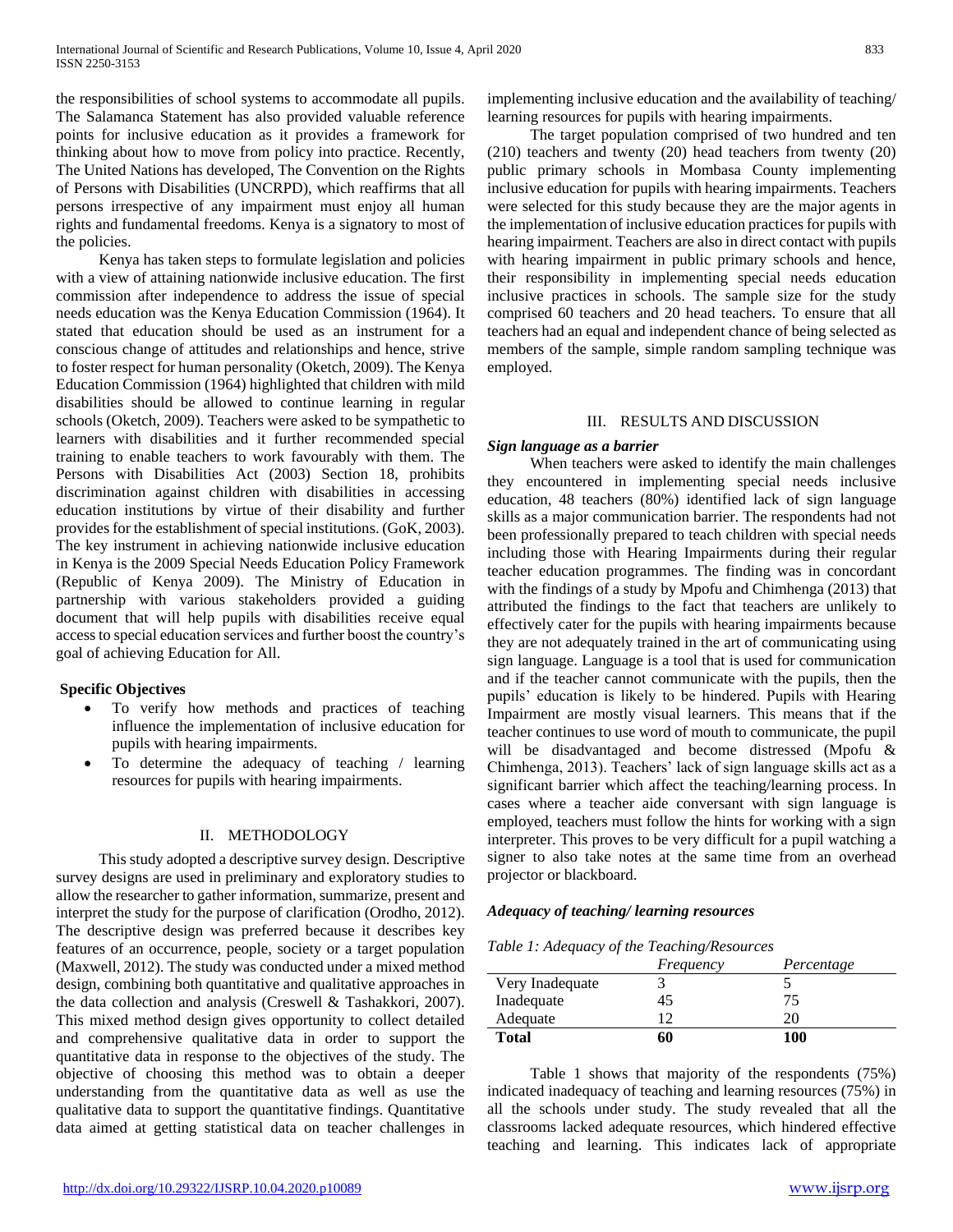the responsibilities of school systems to accommodate all pupils. The Salamanca Statement has also provided valuable reference points for inclusive education as it provides a framework for thinking about how to move from policy into practice. Recently, The United Nations has developed, The Convention on the Rights of Persons with Disabilities (UNCRPD), which reaffirms that all persons irrespective of any impairment must enjoy all human rights and fundamental freedoms. Kenya is a signatory to most of the policies.

 Kenya has taken steps to formulate legislation and policies with a view of attaining nationwide inclusive education. The first commission after independence to address the issue of special needs education was the Kenya Education Commission (1964). It stated that education should be used as an instrument for a conscious change of attitudes and relationships and hence, strive to foster respect for human personality (Oketch, 2009). The Kenya Education Commission (1964) highlighted that children with mild disabilities should be allowed to continue learning in regular schools (Oketch, 2009). Teachers were asked to be sympathetic to learners with disabilities and it further recommended special training to enable teachers to work favourably with them. The Persons with Disabilities Act (2003) Section 18, prohibits discrimination against children with disabilities in accessing education institutions by virtue of their disability and further provides for the establishment of special institutions. (GoK, 2003). The key instrument in achieving nationwide inclusive education in Kenya is the 2009 Special Needs Education Policy Framework (Republic of Kenya 2009). The Ministry of Education in partnership with various stakeholders provided a guiding document that will help pupils with disabilities receive equal access to special education services and further boost the country's goal of achieving Education for All.

## **Specific Objectives**

- To verify how methods and practices of teaching influence the implementation of inclusive education for pupils with hearing impairments.
- To determine the adequacy of teaching / learning resources for pupils with hearing impairments.

## II. METHODOLOGY

 This study adopted a descriptive survey design. Descriptive survey designs are used in preliminary and exploratory studies to allow the researcher to gather information, summarize, present and interpret the study for the purpose of clarification (Orodho, 2012). The descriptive design was preferred because it describes key features of an occurrence, people, society or a target population (Maxwell, 2012). The study was conducted under a mixed method design, combining both quantitative and qualitative approaches in the data collection and analysis (Creswell & Tashakkori, 2007). This mixed method design gives opportunity to collect detailed and comprehensive qualitative data in order to support the quantitative data in response to the objectives of the study. The objective of choosing this method was to obtain a deeper understanding from the quantitative data as well as use the qualitative data to support the quantitative findings. Quantitative data aimed at getting statistical data on teacher challenges in

implementing inclusive education and the availability of teaching/ learning resources for pupils with hearing impairments.

 The target population comprised of two hundred and ten (210) teachers and twenty (20) head teachers from twenty (20) public primary schools in Mombasa County implementing inclusive education for pupils with hearing impairments. Teachers were selected for this study because they are the major agents in the implementation of inclusive education practices for pupils with hearing impairment. Teachers are also in direct contact with pupils with hearing impairment in public primary schools and hence, their responsibility in implementing special needs education inclusive practices in schools. The sample size for the study comprised 60 teachers and 20 head teachers. To ensure that all teachers had an equal and independent chance of being selected as members of the sample, simple random sampling technique was employed.

## III. RESULTS AND DISCUSSION

## *Sign language as a barrier*

 When teachers were asked to identify the main challenges they encountered in implementing special needs inclusive education, 48 teachers (80%) identified lack of sign language skills as a major communication barrier. The respondents had not been professionally prepared to teach children with special needs including those with Hearing Impairments during their regular teacher education programmes. The finding was in concordant with the findings of a study by Mpofu and Chimhenga (2013) that attributed the findings to the fact that teachers are unlikely to effectively cater for the pupils with hearing impairments because they are not adequately trained in the art of communicating using sign language. Language is a tool that is used for communication and if the teacher cannot communicate with the pupils, then the pupils' education is likely to be hindered. Pupils with Hearing Impairment are mostly visual learners. This means that if the teacher continues to use word of mouth to communicate, the pupil will be disadvantaged and become distressed (Mpofu & Chimhenga, 2013). Teachers' lack of sign language skills act as a significant barrier which affect the teaching/learning process. In cases where a teacher aide conversant with sign language is employed, teachers must follow the hints for working with a sign interpreter. This proves to be very difficult for a pupil watching a signer to also take notes at the same time from an overhead projector or blackboard.

## *Adequacy of teaching/ learning resources*

|  |  | Table 1: Adequacy of the Teaching/Resources |  |
|--|--|---------------------------------------------|--|
|  |  |                                             |  |

|                 | Frequency | Percentage |
|-----------------|-----------|------------|
| Very Inadequate |           |            |
| Inadequate      | 45        | 75         |
| Adequate        | 12        | 20         |
| <b>Total</b>    | 60        | 100        |

 Table 1 shows that majority of the respondents (75%) indicated inadequacy of teaching and learning resources (75%) in all the schools under study. The study revealed that all the classrooms lacked adequate resources, which hindered effective teaching and learning. This indicates lack of appropriate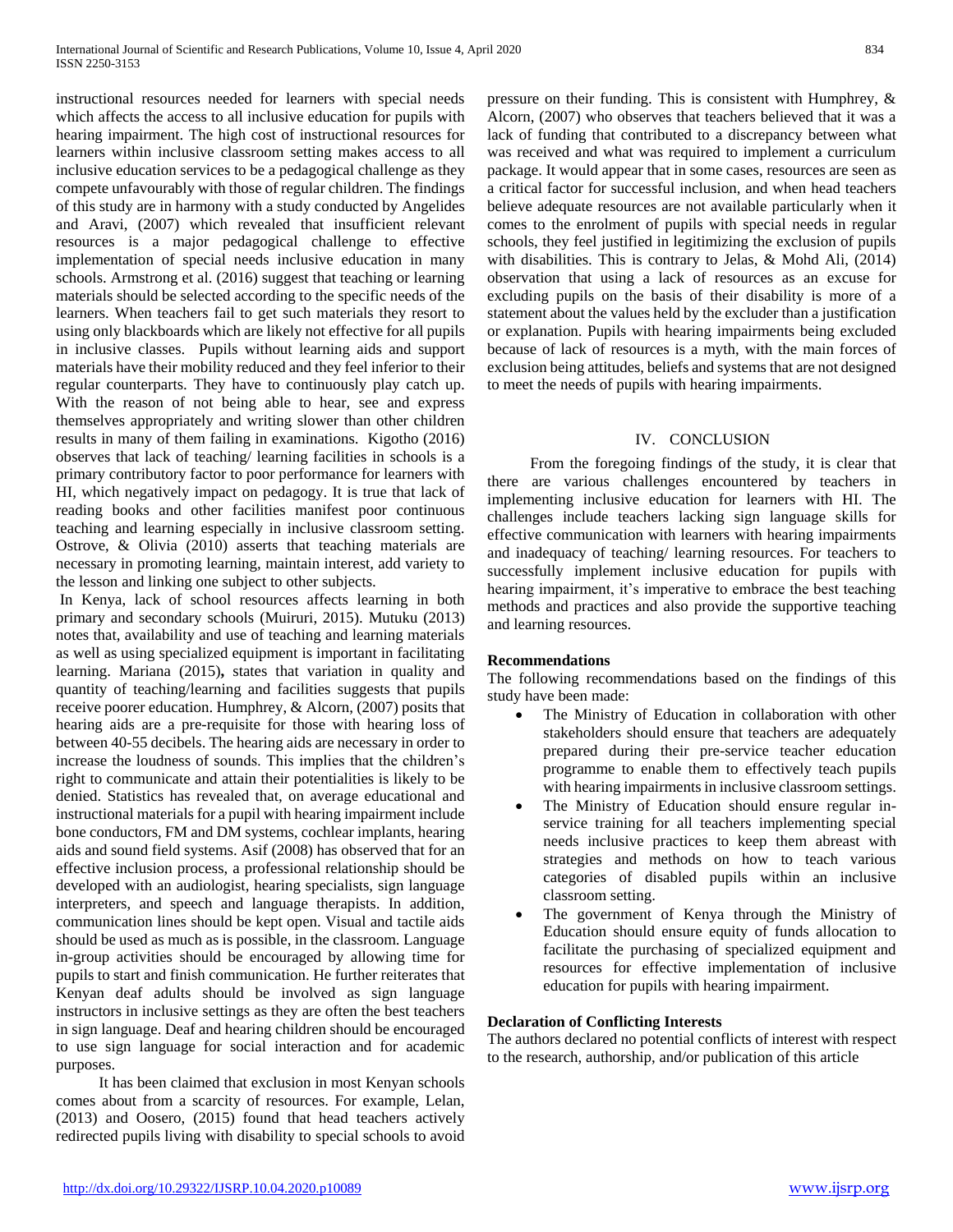instructional resources needed for learners with special needs which affects the access to all inclusive education for pupils with hearing impairment. The high cost of instructional resources for learners within inclusive classroom setting makes access to all inclusive education services to be a pedagogical challenge as they compete unfavourably with those of regular children. The findings of this study are in harmony with a study conducted by Angelides and Aravi, (2007) which revealed that insufficient relevant resources is a major pedagogical challenge to effective implementation of special needs inclusive education in many schools. Armstrong et al. (2016) suggest that teaching or learning materials should be selected according to the specific needs of the learners. When teachers fail to get such materials they resort to using only blackboards which are likely not effective for all pupils in inclusive classes. Pupils without learning aids and support materials have their mobility reduced and they feel inferior to their regular counterparts. They have to continuously play catch up. With the reason of not being able to hear, see and express themselves appropriately and writing slower than other children results in many of them failing in examinations. Kigotho (2016) observes that lack of teaching/ learning facilities in schools is a primary contributory factor to poor performance for learners with HI, which negatively impact on pedagogy. It is true that lack of reading books and other facilities manifest poor continuous teaching and learning especially in inclusive classroom setting. Ostrove, & Olivia (2010) asserts that teaching materials are necessary in promoting learning, maintain interest, add variety to the lesson and linking one subject to other subjects.

In Kenya, lack of school resources affects learning in both primary and secondary schools (Muiruri, 2015). Mutuku (2013) notes that, availability and use of teaching and learning materials as well as using specialized equipment is important in facilitating learning. Mariana (2015)**,** states that variation in quality and quantity of teaching/learning and facilities suggests that pupils receive poorer education. Humphrey, & Alcorn, (2007) posits that hearing aids are a pre-requisite for those with hearing loss of between 40-55 decibels. The hearing aids are necessary in order to increase the loudness of sounds. This implies that the children's right to communicate and attain their potentialities is likely to be denied. Statistics has revealed that, on average educational and instructional materials for a pupil with hearing impairment include bone conductors, FM and DM systems, cochlear implants, hearing aids and sound field systems. Asif (2008) has observed that for an effective inclusion process, a professional relationship should be developed with an audiologist, hearing specialists, sign language interpreters, and speech and language therapists. In addition, communication lines should be kept open. Visual and tactile aids should be used as much as is possible, in the classroom. Language in-group activities should be encouraged by allowing time for pupils to start and finish communication. He further reiterates that Kenyan deaf adults should be involved as sign language instructors in inclusive settings as they are often the best teachers in sign language. Deaf and hearing children should be encouraged to use sign language for social interaction and for academic purposes.

 It has been claimed that exclusion in most Kenyan schools comes about from a scarcity of resources. For example, Lelan, (2013) and Oosero, (2015) found that head teachers actively redirected pupils living with disability to special schools to avoid pressure on their funding. This is consistent with Humphrey, & Alcorn, (2007) who observes that teachers believed that it was a lack of funding that contributed to a discrepancy between what was received and what was required to implement a curriculum package. It would appear that in some cases, resources are seen as a critical factor for successful inclusion, and when head teachers believe adequate resources are not available particularly when it comes to the enrolment of pupils with special needs in regular schools, they feel justified in legitimizing the exclusion of pupils with disabilities. This is contrary to Jelas, & Mohd Ali, (2014) observation that using a lack of resources as an excuse for excluding pupils on the basis of their disability is more of a statement about the values held by the excluder than a justification or explanation. Pupils with hearing impairments being excluded because of lack of resources is a myth, with the main forces of exclusion being attitudes, beliefs and systems that are not designed to meet the needs of pupils with hearing impairments.

## IV. CONCLUSION

 From the foregoing findings of the study, it is clear that there are various challenges encountered by teachers in implementing inclusive education for learners with HI. The challenges include teachers lacking sign language skills for effective communication with learners with hearing impairments and inadequacy of teaching/ learning resources. For teachers to successfully implement inclusive education for pupils with hearing impairment, it's imperative to embrace the best teaching methods and practices and also provide the supportive teaching and learning resources.

#### **Recommendations**

The following recommendations based on the findings of this study have been made:

- The Ministry of Education in collaboration with other stakeholders should ensure that teachers are adequately prepared during their pre-service teacher education programme to enable them to effectively teach pupils with hearing impairments in inclusive classroom settings.
- The Ministry of Education should ensure regular inservice training for all teachers implementing special needs inclusive practices to keep them abreast with strategies and methods on how to teach various categories of disabled pupils within an inclusive classroom setting.
- The government of Kenya through the Ministry of Education should ensure equity of funds allocation to facilitate the purchasing of specialized equipment and resources for effective implementation of inclusive education for pupils with hearing impairment.

## **Declaration of Conflicting Interests**

The authors declared no potential conflicts of interest with respect to the research, authorship, and/or publication of this article